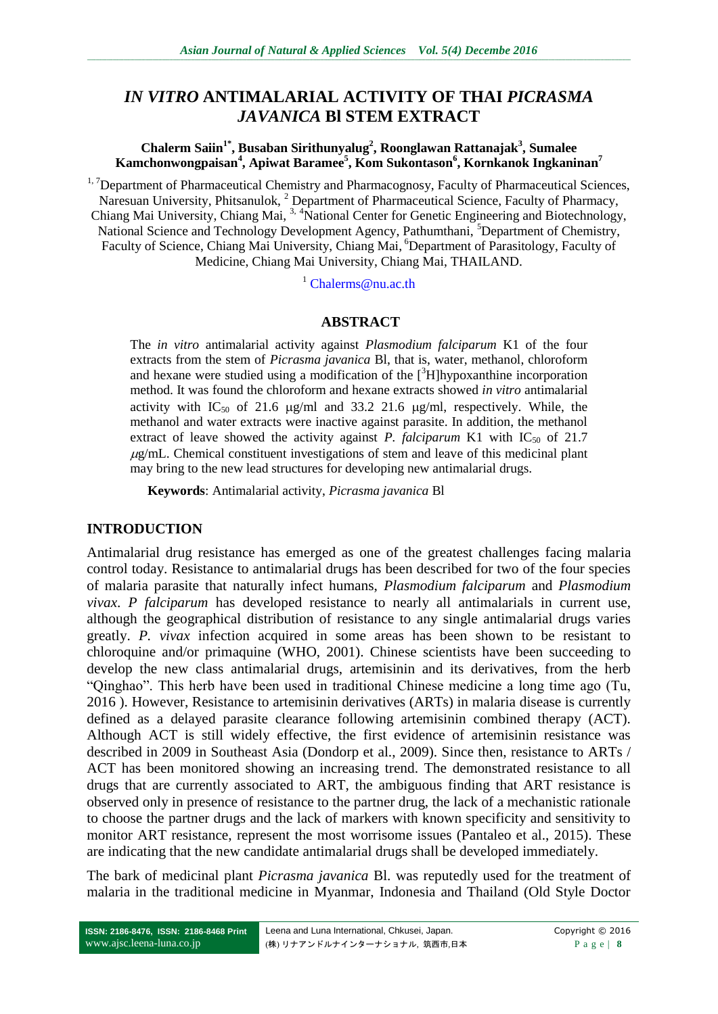# *IN VITRO* **ANTIMALARIAL ACTIVITY OF THAI** *PICRASMA JAVANICA* **Bl STEM EXTRACT**

#### **Chalerm Saiin1\*, Busaban Sirithunyalug<sup>2</sup> , Roonglawan Rattanajak<sup>3</sup> , Sumalee Kamchonwongpaisan<sup>4</sup> , Apiwat Baramee<sup>5</sup> , Kom Sukontason<sup>6</sup> , Kornkanok Ingkaninan<sup>7</sup>**

 $1,7$ Department of Pharmaceutical Chemistry and Pharmacognosy, Faculty of Pharmaceutical Sciences, Naresuan University, Phitsanulok, <sup>2</sup> Department of Pharmaceutical Science, Faculty of Pharmacy, Chiang Mai University, Chiang Mai, <sup>3, 4</sup>National Center for Genetic Engineering and Biotechnology, National Science and Technology Development Agency, Pathumthani, <sup>5</sup>Department of Chemistry, Faculty of Science, Chiang Mai University, Chiang Mai, <sup>6</sup>Department of Parasitology, Faculty of Medicine, Chiang Mai University, Chiang Mai, THAILAND.

<sup>1</sup> [Chalerms@nu.ac.th](mailto:Chalerms@nu.ac.th)

#### **ABSTRACT**

The *in vitro* antimalarial activity against *Plasmodium falciparum* K1 of the four extracts from the stem of *Picrasma javanica* Bl, that is, water, methanol, chloroform and hexane were studied using a modification of the  $\int^3 H$ ]hypoxanthine incorporation method. It was found the chloroform and hexane extracts showed *in vitro* antimalarial activity with  $IC_{50}$  of 21.6  $\mu$ g/ml and 33.2 21.6  $\mu$ g/ml, respectively. While, the methanol and water extracts were inactive against parasite. In addition, the methanol extract of leave showed the activity against *P. falciparum* K1 with IC<sub>50</sub> of 21.7  $\mu$ g/mL. Chemical constituent investigations of stem and leave of this medicinal plant may bring to the new lead structures for developing new antimalarial drugs.

**Keywords**: Antimalarial activity, *Picrasma javanica* Bl

#### **INTRODUCTION**

Antimalarial drug resistance has emerged as one of the greatest challenges facing malaria control today. Resistance to antimalarial drugs has been described for two of the four species of malaria parasite that naturally infect humans, *Plasmodium falciparum* and *Plasmodium vivax*. *P falciparum* has developed resistance to nearly all antimalarials in current use, although the geographical distribution of resistance to any single antimalarial drugs varies greatly. *P. vivax* infection acquired in some areas has been shown to be resistant to chloroquine and/or primaquine (WHO, 2001). Chinese scientists have been succeeding to develop the new class antimalarial drugs, artemisinin and its derivatives, from the herb "Qinghao". This herb have been used in traditional Chinese medicine a long time ago (Tu, 2016 ). However, Resistance to artemisinin derivatives (ARTs) in malaria disease is currently defined as a delayed parasite clearance following artemisinin combined therapy (ACT). Although ACT is still widely effective, the first evidence of artemisinin resistance was described in 2009 in Southeast Asia (Dondorp et al., 2009). Since then, resistance to ARTs / ACT has been monitored showing an increasing trend. The demonstrated resistance to all drugs that are currently associated to ART, the ambiguous finding that ART resistance is observed only in presence of resistance to the partner drug, the lack of a mechanistic rationale to choose the partner drugs and the lack of markers with known specificity and sensitivity to monitor ART resistance, represent the most worrisome issues (Pantaleo et al., 2015). These are indicating that the new candidate antimalarial drugs shall be developed immediately.

The bark of medicinal plant *Picrasma javanica* Bl. was reputedly used for the treatment of malaria in the traditional medicine in Myanmar, Indonesia and Thailand (Old Style Doctor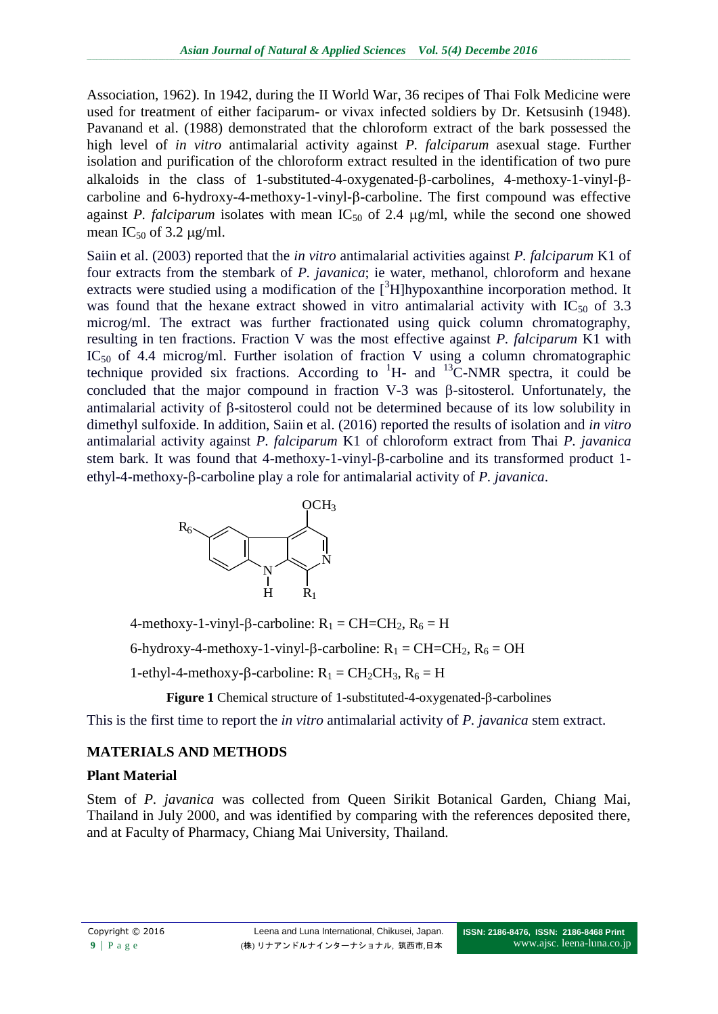Association, 1962). In 1942, during the II World War, 36 recipes of Thai Folk Medicine were used for treatment of either faciparum- or vivax infected soldiers by Dr. Ketsusinh (1948). Pavanand et al. (1988) demonstrated that the chloroform extract of the bark possessed the high level of *in vitro* antimalarial activity against *P. falciparum* asexual stage. Further isolation and purification of the chloroform extract resulted in the identification of two pure alkaloids in the class of 1-substituted-4-oxygenated- $\beta$ -carbolines, 4-methoxy-1-vinyl- $\beta$ carboline and  $6$ -hydroxy-4-methoxy-1-vinyl- $\beta$ -carboline. The first compound was effective against *P. falciparum* isolates with mean  $IC_{50}$  of 2.4  $\mu$ g/ml, while the second one showed mean  $IC_{50}$  of 3.2  $\mu$ g/ml.

Saiin et al. (2003) reported that the *in vitro* antimalarial activities against *P. falciparum* K1 of four extracts from the stembark of *P. javanica*; ie water, methanol, chloroform and hexane extracts were studied using a modification of the  $\int^3 H$ ]hypoxanthine incorporation method. It was found that the hexane extract showed in vitro antimalarial activity with  $IC_{50}$  of 3.3 microg/ml. The extract was further fractionated using quick column chromatography, resulting in ten fractions. Fraction V was the most effective against *P. falciparum* K1 with  $IC_{50}$  of 4.4 microg/ml. Further isolation of fraction V using a column chromatographic technique provided six fractions. According to  ${}^{1}$ H- and  ${}^{13}$ C-NMR spectra, it could be concluded that the major compound in fraction  $V-3$  was  $\beta$ -sitosterol. Unfortunately, the antimalarial activity of  $\beta$ -sitosterol could not be determined because of its low solubility in dimethyl sulfoxide. In addition, Saiin et al. (2016) reported the results of isolation and *in vitro* antimalarial activity against *P. falciparum* K1 of chloroform extract from Thai *P. javanica* stem bark. It was found that 4-methoxy-1-vinyl- $\beta$ -carboline and its transformed product 1ethyl-4-methoxy- $\beta$ -carboline play a role for antimalarial activity of *P. javanica*.



4-methoxy-1-vinyl- $\beta$ -carboline:  $R_1 = CH = CH_2$ ,  $R_6 = H$ 

6-hydroxy-4-methoxy-1-vinyl- $\beta$ -carboline:  $R_1 = CH = CH_2$ ,  $R_6 = OH$ 

1-ethyl-4-methoxy- $\beta$ -carboline:  $R_1 = CH_2CH_3$ ,  $R_6 = H$ 

Figure 1 Chemical structure of 1-substituted-4-oxygenated- $\beta$ -carbolines

This is the first time to report the *in vitro* antimalarial activity of *P. javanica* stem extract.

### **MATERIALS AND METHODS**

### **Plant Material**

Stem of *P. javanica* was collected from Queen Sirikit Botanical Garden, Chiang Mai, Thailand in July 2000, and was identified by comparing with the references deposited there, and at Faculty of Pharmacy, Chiang Mai University, Thailand.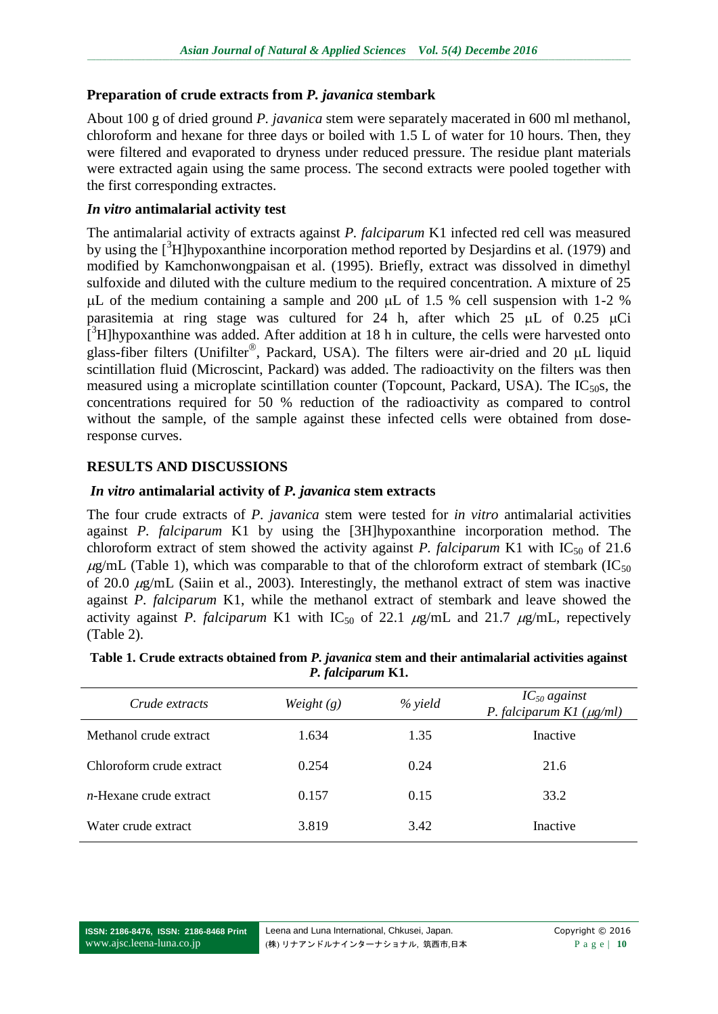### **Preparation of crude extracts from** *P. javanica* **stembark**

About 100 g of dried ground *P. javanica* stem were separately macerated in 600 ml methanol, chloroform and hexane for three days or boiled with 1.5 L of water for 10 hours. Then, they were filtered and evaporated to dryness under reduced pressure. The residue plant materials were extracted again using the same process. The second extracts were pooled together with the first corresponding extractes.

#### *In vitro* **antimalarial activity test**

The antimalarial activity of extracts against *P. falciparum* K1 infected red cell was measured by using the  $\beta$ H]hypoxanthine incorporation method reported by Desjardins et al. (1979) and modified by Kamchonwongpaisan et al. (1995). Briefly, extract was dissolved in dimethyl sulfoxide and diluted with the culture medium to the required concentration. A mixture of 25  $\mu$ L of the medium containing a sample and 200  $\mu$ L of 1.5 % cell suspension with 1-2 % parasitemia at ring stage was cultured for 24 h, after which 25  $\mu$ L of 0.25  $\mu$ Ci  $\int_0^3 H$ ]hypoxanthine was added. After addition at 18 h in culture, the cells were harvested onto glass-fiber filters (Unifilter®, Packard, USA). The filters were air-dried and 20  $\mu$ L liquid scintillation fluid (Microscint, Packard) was added. The radioactivity on the filters was then measured using a microplate scintillation counter (Topcount, Packard, USA). The  $IC_{50}$ s, the concentrations required for 50 % reduction of the radioactivity as compared to control without the sample, of the sample against these infected cells were obtained from doseresponse curves.

### **RESULTS AND DISCUSSIONS**

### *In vitro* **antimalarial activity of** *P. javanica* **stem extracts**

The four crude extracts of *P. javanica* stem were tested for *in vitro* antimalarial activities against *P. falciparum* K1 by using the [3H]hypoxanthine incorporation method. The chloroform extract of stem showed the activity against *P. falciparum* K1 with  $IC_{50}$  of 21.6  $\mu$ g/mL (Table 1), which was comparable to that of the chloroform extract of stembark (IC<sub>50</sub>) of 20.0  $\mu$ g/mL (Saiin et al., 2003). Interestingly, the methanol extract of stem was inactive against *P. falciparum* K1, while the methanol extract of stembark and leave showed the activity against *P. falciparum* K1 with  $IC_{50}$  of 22.1  $\mu$ g/mL and 21.7  $\mu$ g/mL, repectively (Table 2).

| Crude extracts            | Weight $(g)$ | % yield | $IC_{50}$ against<br>P. falciparum K1 $(\mu g/ml)$ |
|---------------------------|--------------|---------|----------------------------------------------------|
| Methanol crude extract    | 1.634        | 1.35    | Inactive                                           |
| Chloroform crude extract  | 0.254        | 0.24    | 21.6                                               |
| $n$ -Hexane crude extract | 0.157        | 0.15    | 33.2                                               |
| Water crude extract       | 3.819        | 3.42    | Inactive                                           |

| Table 1. Crude extracts obtained from P. javanica stem and their antimalarial activities against |
|--------------------------------------------------------------------------------------------------|
| P. falciparum K1.                                                                                |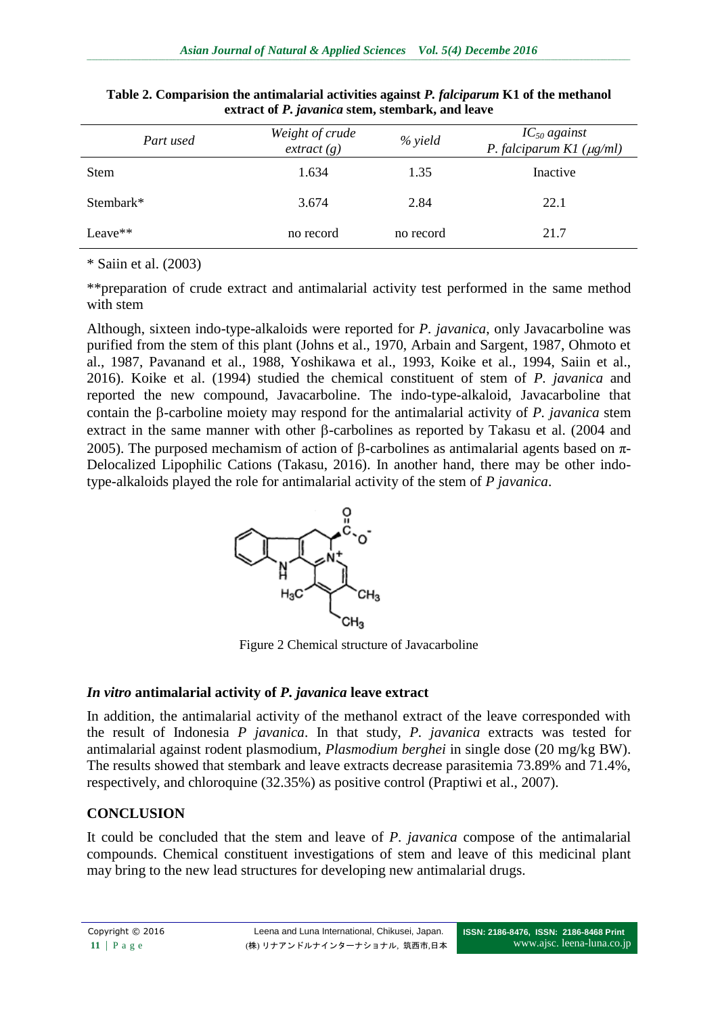| Part used   | Weight of crude<br>extract(g) | % yield   | $IC_{50}$ against<br>P. falciparum K1 $(\mu g/ml)$ |
|-------------|-------------------------------|-----------|----------------------------------------------------|
| <b>Stem</b> | 1.634                         | 1.35      | Inactive                                           |
| Stembark*   | 3.674                         | 2.84      | 22.1                                               |
| Leave**     | no record                     | no record | 21.7                                               |

**Table 2. Comparision the antimalarial activities against** *P. falciparum* **K1 of the methanol extract of** *P. javanica* **stem, stembark, and leave**

\* Saiin et al. (2003)

\*\*preparation of crude extract and antimalarial activity test performed in the same method with stem

Although, sixteen indo-type-alkaloids were reported for *P. javanica*, only Javacarboline was purified from the stem of this plant (Johns et al., 1970, Arbain and Sargent, 1987, Ohmoto et al., 1987, Pavanand et al., 1988, Yoshikawa et al., 1993, Koike et al., 1994, Saiin et al., 2016). Koike et al. (1994) studied the chemical constituent of stem of *P. javanica* and reported the new compound, Javacarboline. The indo-type-alkaloid, Javacarboline that contain the  $\beta$ -carboline moiety may respond for the antimalarial activity of *P. javanica* stem extract in the same manner with other  $\beta$ -carbolines as reported by Takasu et al. (2004 and 2005). The purposed mechamism of action of  $\beta$ -carbolines as antimalarial agents based on  $\pi$ -Delocalized Lipophilic Cations (Takasu, 2016). In another hand, there may be other indotype-alkaloids played the role for antimalarial activity of the stem of *P javanica*.



Figure 2 Chemical structure of Javacarboline

## *In vitro* **antimalarial activity of** *P. javanica* **leave extract**

In addition, the antimalarial activity of the methanol extract of the leave corresponded with the result of Indonesia *P javanica*. In that study, *P. javanica* extracts was tested for antimalarial against rodent plasmodium, *Plasmodium berghei* in single dose (20 mg/kg BW). The results showed that stembark and leave extracts decrease parasitemia 73.89% and 71.4%, respectively, and chloroquine (32.35%) as positive control (Praptiwi et al., 2007).

## **CONCLUSION**

It could be concluded that the stem and leave of *P. javanica* compose of the antimalarial compounds. Chemical constituent investigations of stem and leave of this medicinal plant may bring to the new lead structures for developing new antimalarial drugs.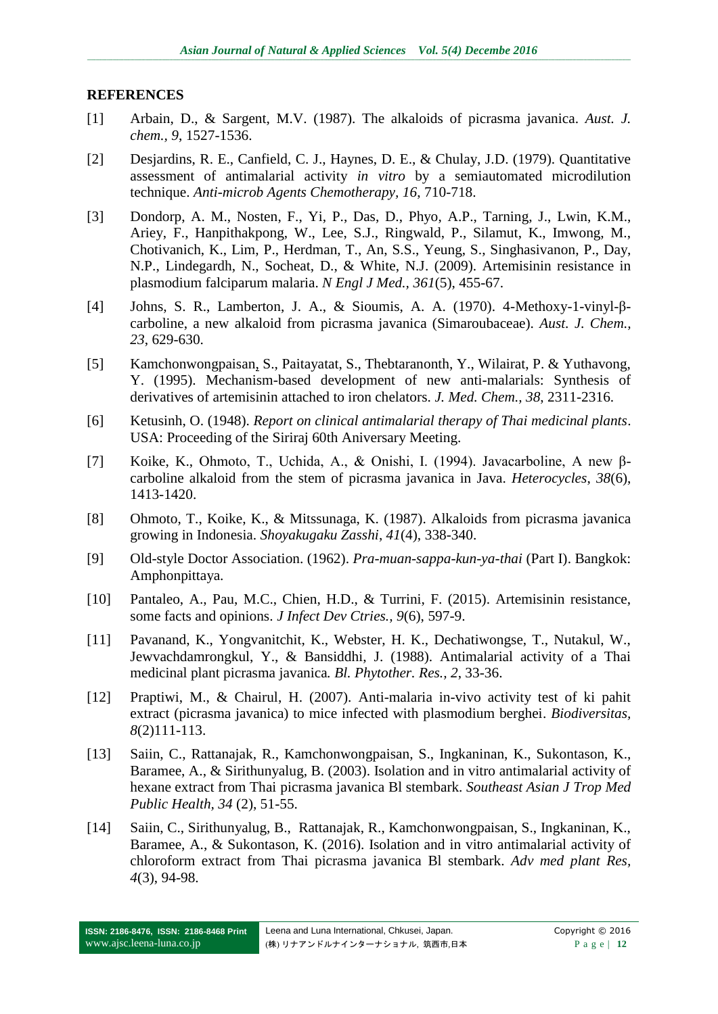#### **REFERENCES**

- [1] Arbain, D., & Sargent, M.V. (1987). The alkaloids of picrasma javanica. *Aust. J. chem., 9*, 1527-1536.
- [2] Desjardins, R. E., Canfield, C. J., Haynes, D. E., & Chulay, J.D. (1979). Quantitative assessment of antimalarial activity *in vitro* by a semiautomated microdilution technique. *Anti-microb Agents Chemotherapy, 16*, 710-718.
- [3] Dondorp, A. M., Nosten, F., Yi, P., Das, D., Phyo, A.P., Tarning, J., Lwin, K.M., Ariey, F., Hanpithakpong, W., Lee, S.J., Ringwald, P., Silamut, K., Imwong, M., Chotivanich, K., Lim, P., Herdman, T., An, S.S., Yeung, S., Singhasivanon, P., Day, N.P., Lindegardh, N., Socheat, D., & White, N.J. (2009). Artemisinin resistance in plasmodium falciparum malaria. *N Engl J Med., 361*(5), 455-67.
- [4] Johns, S. R., Lamberton, J. A., & Sioumis, A. A. (1970). 4-Methoxy-1-vinyl-βcarboline, a new alkaloid from picrasma javanica (Simaroubaceae). *Aust. J. Chem., 23*, 629-630.
- [5] Kamchonwongpaisan, S., Paitayatat, S., Thebtaranonth, Y., Wilairat, P. & Yuthavong, Y. (1995). Mechanism-based development of new anti-malarials: Synthesis of derivatives of artemisinin attached to iron chelators. *J. Med. Chem., 38*, 2311-2316.
- [6] Ketusinh, O. (1948). *Report on clinical antimalarial therapy of Thai medicinal plants*. USA: Proceeding of the Siriraj 60th Aniversary Meeting.
- [7] Koike, K., Ohmoto, T., Uchida, A., & Onishi, I. (1994). Javacarboline, A new βcarboline alkaloid from the stem of picrasma javanica in Java. *Heterocycles*, *38*(6), 1413-1420.
- [8] Ohmoto, T., Koike, K., & Mitssunaga, K. (1987). Alkaloids from picrasma javanica growing in Indonesia. *Shoyakugaku Zasshi*, *41*(4), 338-340.
- [9] Old-style Doctor Association. (1962). *Pra-muan-sappa-kun-ya-thai* (Part I). Bangkok: Amphonpittaya.
- [10] Pantaleo, A., Pau, M.C., Chien, H.D., & Turrini, F. (2015). Artemisinin resistance, some facts and opinions. *J Infect Dev Ctries., 9*(6), 597-9.
- [11] Pavanand, K., Yongvanitchit, K., Webster, H. K., Dechatiwongse, T., Nutakul, W., Jewvachdamrongkul, Y., & Bansiddhi, J. (1988). Antimalarial activity of a Thai medicinal plant picrasma javanica*. Bl. Phytother. Res., 2*, 33-36.
- [12] Praptiwi, M., & Chairul, H. (2007). Anti-malaria in-vivo activity test of ki pahit extract (picrasma javanica) to mice infected with plasmodium berghei. *Biodiversitas, 8*(2)111-113.
- [13] Saiin, C., Rattanajak, R., Kamchonwongpaisan, S., Ingkaninan, K., Sukontason, K., Baramee, A., & Sirithunyalug, B. (2003). Isolation and in vitro antimalarial activity of hexane extract from Thai picrasma javanica Bl stembark. *Southeast Asian J Trop Med Public Health, 34* (2), 51-55.
- [14] Saiin, C., Sirithunyalug, B., Rattanajak, R., Kamchonwongpaisan, S., Ingkaninan, K., Baramee, A., & Sukontason, K. (2016). Isolation and in vitro antimalarial activity of chloroform extract from Thai picrasma javanica Bl stembark. *Adv med plant Res, 4*(3), 94-98.